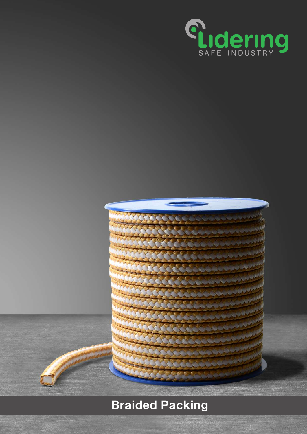

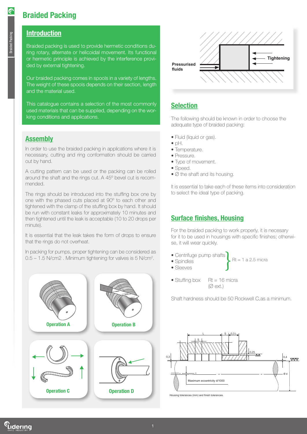### **Introduction**

Braided packing is used to provide hermetic conditions during rotary, alternate or helicoidal movement. Its functional or hermetic principle is achieved by the interference provided by external tightening.

Our braided packing comes in spools in a variety of lengths. The weight of these spools depends on their section, length and the material used.

This catalogue contains a selection of the most commonly used materials that can be supplied, depending on the working conditions and applications.

### **Assembly**

In order to use the braided packing in applications where it is necessary, cutting and ring conformation should be carried out by hand.

A cutting pattern can be used or the packing can be rolled around the shaft and the rings cut. A 45º bevel cut is recommended.

The rings should be introduced into the stuffing box one by one with the phased cuts placed at 90º to each other and tightened with the clamp of the stuffing box by hand. It should be run with constant leaks for approximately 10 minutes and then tightened until the leak is acceptable (10 to 20 drops per minute).

It is essential that the leak takes the form of drops to ensure that the rings do not overheat.

In packing for pumps, proper tightening can be considered as 0.5 – 1.5 N/cm2. Minimum tightening for valves is 5 N/cm<sup>2</sup>.





## **Selection**

The following should be known in order to choose the adequate type of braided packing:

- Fluid (liquid or gas).
- $\bullet$  pH.
- Temperature.
- Pressure.
- Type of movement.
- Speed.
- Ø the shaft and its housing.

It is essential to take each of these items into consideration to select the ideal type of packing.

## Surface finishes, Housing

For the braided packing to work properly, it is necesary for it to be used in housings with specific finishes; otherwise, it will wear quickly.

 $Rt = 1$  a 2.5 micra

- Centrifuge pump shafts
- Spindles
- Sleeves
- Stuffing box  $Rt = 16$  micra  $(\emptyset$  ext.)

Shaft hardness should be 50 Rockwell C,as a minimum.



Housing tolerances (mm) and finish tolerances.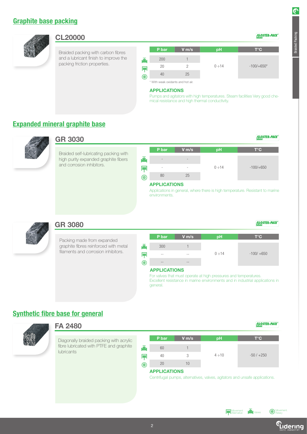### Graphite base packing



### CL20000

Braided packing with carbon fibres and a lubricant finish to improve the packing friction properties.

| P bar | $V$ m/s | pH          | т°С          |
|-------|---------|-------------|--------------|
|       |         |             |              |
| 200   |         |             |              |
| 20    |         | $0 \div 14$ | $-100/+650*$ |
| 40    | 25      |             |              |

\* With weak oxidants and hot air.

#### APPLICATIONS

Pumps and agitators with high temperatures. Steam facilities Very good chemical resistance and high thermal conductivity.

### Expanded mineral graphite base



### GR 3030

Braided self-lubricating packing with high purity expanded graphite fibers and corrosion inhibitors.



#### APPLICATIONS

Applications in general, where there is high temperature. Resistant to marine environments.



### GR 3080

Packing made from expanded graphite fibres reinforced with metal filaments and corrosion inhibitors.

|     | P bar           | $V$ m/s | pH          | $T^{\circ}C$ |
|-----|-----------------|---------|-------------|--------------|
|     |                 |         |             |              |
| ē   | 300             |         |             |              |
| IT. | $=$ $-$         | $- -$   | $0 \div 14$ | $-100/ +650$ |
| 化   | $- -$           | $- -$   |             |              |
|     | ADDI IO ATIONIC |         |             |              |

#### APPLICATIONS

For valves that must operate at high pressures and temperatures. Excellent resistance in marine environments and in industrial applications in general.

### Synthetic fibre base for general



### FA 2480

Diagonally braided packing with acrylic fibre lubricated with PTFE and graphite lubricants

|   | P bar | $V$ m/s | pH          | $T^{\circ}C$ |
|---|-------|---------|-------------|--------------|
|   |       |         |             |              |
| 產 | 60    |         |             |              |
|   | 40    |         | $4 \div 10$ | $-50/+250$   |
| Æ | 20    |         |             |              |

#### APPLICATIONS

Centrifugal pumps, alternatives, valves, agitators and unsafe applications.

Movement<br>Alternative

GLOSTER-PACK

GLOSTER-PACK

GLOSTER-PACK

Braided Packing

GLOSTER-PACK

 $\mathbf{E}$  Valves  $\mathbb{R}$  Moven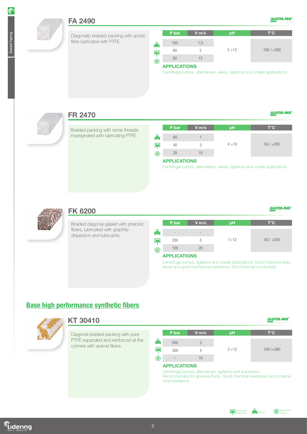GLOSTER-PACK

GLOSTER-PACK



### FA 2490

Diagonally braided packing with acrylic fibre lubricated with PTFE .

|                | P bar               | $V$ m/s | pH          | $T^{\circ}C$  |
|----------------|---------------------|---------|-------------|---------------|
| -35            | 100                 | 1,5     |             |               |
|                | 80                  |         | $2 \div 12$ | $-100/ + 250$ |
| $^{\circledR}$ | 50                  | 15      |             |               |
|                | <b>APPLICATIONS</b> |         |             |               |

#### APPLICATIONS

Centrifugal pumps, alternatives, valves, agitators and unsafe applications.

![](_page_3_Picture_8.jpeg)

### FR 2470

Braided packing with ramie threads impregnated with lubricating PTFE.

|                | P bar                         | $V$ m/s | pH          | T°C.       |
|----------------|-------------------------------|---------|-------------|------------|
| 產              | 60                            |         |             |            |
|                | 40                            |         | $4 \div 10$ | $-50/+250$ |
| $^{\circledR}$ | 20                            | 10      |             |            |
|                | <b>A POINT TAN A PROGRAMM</b> |         |             |            |

#### APPLICATIONS

Centrifugal pumps, alternatives, valves, agitators and unsafe applications.

![](_page_3_Picture_14.jpeg)

### FK 6200

Braided diagonal gasket with phenolic fibers, lubricated with graphite dispersion and lubricants.

|          | P bar                    | $V$ m/s                  | pH          | $T^{\circ}C$ |
|----------|--------------------------|--------------------------|-------------|--------------|
| 產        | $\overline{\phantom{a}}$ | $\overline{\phantom{0}}$ |             |              |
|          | 250                      | b.                       | $1 \div 12$ | $-50/+250$   |
| <b>R</b> | 100                      | 20                       |             |              |

#### APPLICATIONS

Centrifugal pumps, agitators and unsafe applications. Good chemical resistance and good mechanical resistance. Good thermal conductivity

### Base high performance synthetic fibers

![](_page_3_Picture_21.jpeg)

### KT 30410

Diagonal braided packing with pure PTFE expanded and reinforced at the corners with aramid fibers.

|   | P bar         | $V$ m/s | pH          | $T^{\circ}C$ |
|---|---------------|---------|-------------|--------------|
|   | 500           |         |             |              |
|   | 300           |         | $3 \div 12$ | $-100/+280$  |
| 化 | $- -$         | 10      |             |              |
|   | ADDI IAATIANA |         |             |              |

#### APPLICATIONS

Centrifugal pumps, alternatives, agitators and autoclaves. Recommended for abrasive fluids. Good chemical resistance Good mechanical resistance

![](_page_3_Figure_27.jpeg)

GLOSTER-PACK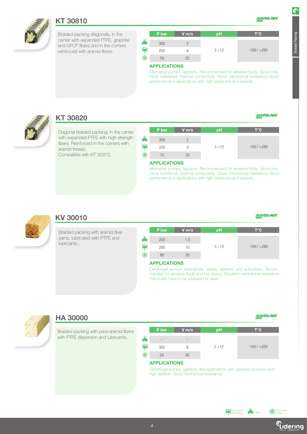![](_page_4_Picture_0.jpeg)

### KT 30810

Braided packing diagonally, in the center with expanded PTFE, graphite and GFO® fibers and in the corners reinforced with aramid fibers.

|    | P bar | $V$ m/s | рH          | $T^{\circ}C$  |
|----|-------|---------|-------------|---------------|
| ▲  | 350   |         |             |               |
|    | 250   |         | $3 \div 12$ | $-100/ + 280$ |
| (K | 70    | 25      |             |               |

### APPLICATIONS

Alternative pumps, agitators. Recommended for abrasive fluids. Good chemical resistance, thermal conductivity. Good mechanical resistance Good performance in applications with high pressures and speeds.

![](_page_4_Picture_6.jpeg)

### KT 30820

Diagonal braided packing, in the center with expanded PTFE with high strength fibers. Reinforced in the corners with aramid thread. Compatible with KT 30810.

|   | P bar | $V$ m/s | pH          | T°C          |
|---|-------|---------|-------------|--------------|
|   | 350   |         |             |              |
|   | 250   |         | $3 \div 12$ | $-100/ +280$ |
| œ |       | 25      |             |              |

#### APPLICATIONS

Alternative pumps, agitators. Recommended for abrasive fluids. Good chemical resistance, thermal conductivity. Good mechanical resistance Good performance in applications with high pressures and speeds.

![](_page_4_Picture_12.jpeg)

### KV 30010

Braided packing with aramid fiber yarns, lubricated with PTFE and lubricants.

|   | P bar | $V$ m/s | pH          | $T^{\circ}C$ |
|---|-------|---------|-------------|--------------|
|   | 250   | 1,5     |             |              |
|   | 200   | 10      | $3 \div 12$ | $-100/ +280$ |
| 化 | 80    | 25      |             |              |

#### APPLICATIONS

Centrifugal pumps, alternatives, valves, agitators and autoclaves. Recommended for abrasive fluids and low speed. Excellent mechanical resistance The shafts have to be prepared for wear.

![](_page_4_Picture_18.jpeg)

### HA 30000

Braided packing with para-aramid fibers with PTFE dispersion and lubricants.

|   | P bar         | $V$ m/s | pH          | T°C         |
|---|---------------|---------|-------------|-------------|
|   | $- -$         | $- -$   |             |             |
|   | 300           | 8       | $2 \div 12$ | $-100/+250$ |
| ֎ | 50            | 30      |             |             |
|   | ------------- |         |             |             |

#### APPLICATIONS

Centrifugal pumps, agitators and applications with abrasive products and high speeds. Good mechanical resistance

GLOSTER-PACK

GLOSTER-PACK

GLOSTER-PACK

![](_page_4_Picture_25.jpeg)

![](_page_4_Picture_27.jpeg)

**R**O Movern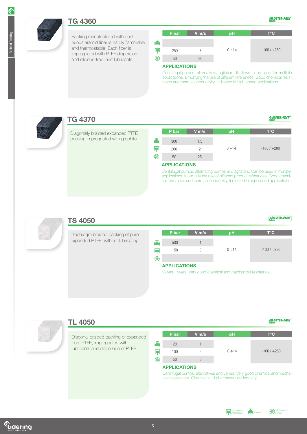### TG 4360

Packing manufactured with continuous aramid fiber is hardly flammable and thermostable. Each fiber is impregnated with PTFE dispersion and silicone-free inert lubricants.

|                | P bar         | $V$ m/s | pH          | $T^{\circ}$ C |
|----------------|---------------|---------|-------------|---------------|
| 畵              | $- -$         | $= -$   |             |               |
|                | 250           | 3       | $0 \div 14$ | $-100/ + 280$ |
| $^{\circledR}$ | 50            | 30      |             |               |
|                | ------------- |         |             |               |

GLOSTER-PACK

GLOSTER-PACK

GLOSTER-PACK

#### APPLICATIONS

Centrifugal pumps, alternatives, agitators. It allows to be used for multiple applications, simplifying the use of different references. Good chemical resistance and thermal conductivity. Indicated in high speed applications.

![](_page_5_Picture_7.jpeg)

### TG 4370

Diagonally braided expanded PTFE packing impregnated with graphite.

|    | P bar | $V$ m/s | pH          | $T^{\circ}C$ |
|----|-------|---------|-------------|--------------|
|    | 300   | 1,5     |             |              |
|    | 200   |         | $0 \div 14$ | $-100/ +280$ |
| (Z | 50    | 25      |             |              |

#### APPLICATIONS

Centrifugal pumps, alternating pumps and agitators. Can be used in multiple applications, to simplify the use of different product references. Good chemical resistance and thermal conductivity. Indicated in high speed applications.

![](_page_5_Picture_13.jpeg)

### TS 4050

Diaphragm braided packing of pure expanded PTFE, without lubricating.

![](_page_5_Picture_16.jpeg)

#### APPLICATIONS

Valves, mixers. Very good chemical and mechanical resistance.

![](_page_5_Picture_19.jpeg)

### TL 4050

Diagonal braided packing of expanded pure PTFE, impregnated with lubricants and dispersion of PTFE.

|   | P bar | $V$ m/s | pH          | T°C          |
|---|-------|---------|-------------|--------------|
|   |       |         |             |              |
|   | 20    |         |             |              |
|   | 100   |         | $0 \div 14$ | $-100/ +280$ |
| ֎ | 50    |         |             |              |

#### APPLICATIONS

Centrifugal pumps, alternatives and valves. Very good chemical and mechanical resistance. Chemical and pharmaceutical industry.

![](_page_5_Figure_25.jpeg)

![](_page_5_Picture_26.jpeg)

GLOSTER-PACK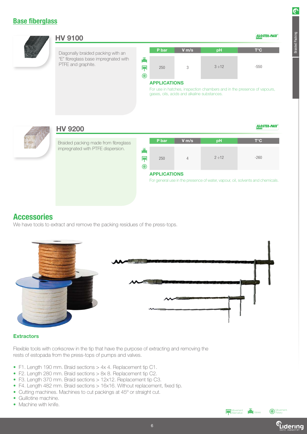### Base fiberglass

![](_page_6_Picture_1.jpeg)

#### HV 9100

"E" fibreglass base impregnated with PTFE and graphite.

|   | P bar | $V$ m/s | pH          | $T^{\circ}C$ |
|---|-------|---------|-------------|--------------|
| Ā | 250   | 3       | $3 \div 12$ | $-550$       |

### APPLICATIONS

For use in hatches, inspection chambers and in the presence of vapours, gases, oils, acids and alkaline substances.

### HV 9200

Braided packing made from fibreglass impregnated with PTFE dispersion.

|        | P bar | $V$ m/s | pH          | $T^{\circ}C$ |
|--------|-------|---------|-------------|--------------|
| 谨<br>֎ | 250   |         | $2 \div 12$ | $-260$       |

#### APPLICATIONS

For general use in the presence of water, vapour, oil, solvents and chemicals.

### **Accessories**

We have tools to extract and remove the packing residues of the press-tops.

![](_page_6_Picture_15.jpeg)

#### **Extractors**

Flexible tools with corkscrew in the tip that have the purpose of extracting and removing the rests of estopada from the press-tops of pumps and valves.

- F1. Length 190 mm. Braid sections > 4x 4. Replacement tip C1.
- F2. Length 280 mm. Braid sections > 8x 8. Replacement tip C2.
- F3. Length 370 mm. Braid sections > 12x12. Replacement tip C3.
- F4. Length 482 mm. Braid sections > 16x16. Without replacement, fixed tip.
- Cutting machines. Machines to cut packings at 45° or straight cut.
- Guillotine machine.
- Machine with knife.

Movement<br>Alternative

GLOSTER-PACK

GLOSTER-PACK

Braided Packing

*Movement.*<br>Rotary